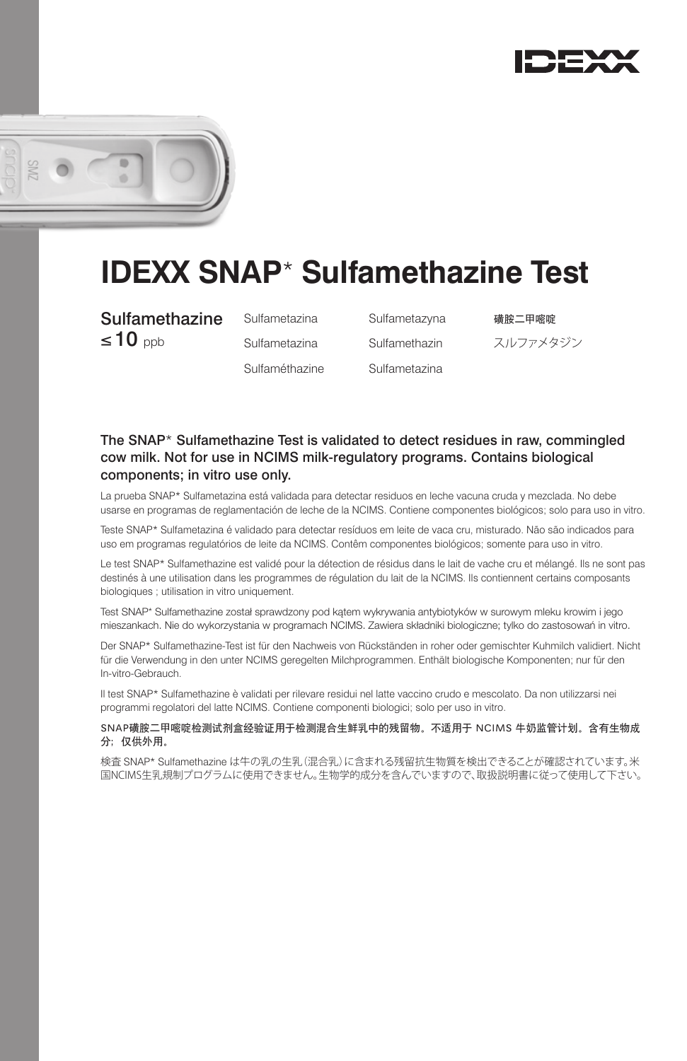



# **IDEXX SNAP**\* **Sulfamethazine Test**

**Sulfamethazine** Sulfametazina Sulfametazyna 磺胺二甲嘧啶  $\leq$  10 ppb Sulfametazina Sulfamethazin  $\geq$ ルファメタジン

Sulfaméthazine Sulfametazina

## The SNAP\* Sulfamethazine Test is validated to detect residues in raw, commingled cow milk. Not for use in NCIMS milk-regulatory programs. Contains biological components; in vitro use only.

La prueba SNAP\* Sulfametazina está validada para detectar residuos en leche vacuna cruda y mezclada. No debe usarse en programas de reglamentación de leche de la NCIMS. Contiene componentes biológicos; solo para uso in vitro.

Teste SNAP\* Sulfametazina é validado para detectar resíduos em leite de vaca cru, misturado. Não são indicados para uso em programas regulatórios de leite da NCIMS. Contêm componentes biológicos; somente para uso in vitro.

Le test SNAP\* Sulfamethazine est validé pour la détection de résidus dans le lait de vache cru et mélangé. Ils ne sont pas destinés à une utilisation dans les programmes de régulation du lait de la NCIMS. Ils contiennent certains composants biologiques ; utilisation in vitro uniquement.

Test SNAP\* Sulfamethazine został sprawdzony pod kątem wykrywania antybiotyków w surowym mleku krowim i jego mieszankach. Nie do wykorzystania w programach NCIMS. Zawiera składniki biologiczne; tylko do zastosowań in vitro.

Der SNAP\* Sulfamethazine-Test ist für den Nachweis von Rückständen in roher oder gemischter Kuhmilch validiert. Nicht für die Verwendung in den unter NCIMS geregelten Milchprogrammen. Enthält biologische Komponenten; nur für den In-vitro-Gebrauch.

Il test SNAP\* Sulfamethazine è validati per rilevare residui nel latte vaccino crudo e mescolato. Da non utilizzarsi nei programmi regolatori del latte NCIMS. Contiene componenti biologici; solo per uso in vitro.

SNAP磺胺二甲嘧啶检测试剂盒经验证用于检测混合生鲜乳中的残留物。不适用于 NCIMS 牛奶监管计划。含有生物成 分;仅供外用。

検査 SNAP\* Sulfamethazine は牛の乳の生乳(混合乳)に含まれる残留抗生物質を検出できることが確認されています。米 国NCIMS生乳規制プログラムに使用できません。生物学的成分を含んでいますので、取扱説明書に従って使用して下さい。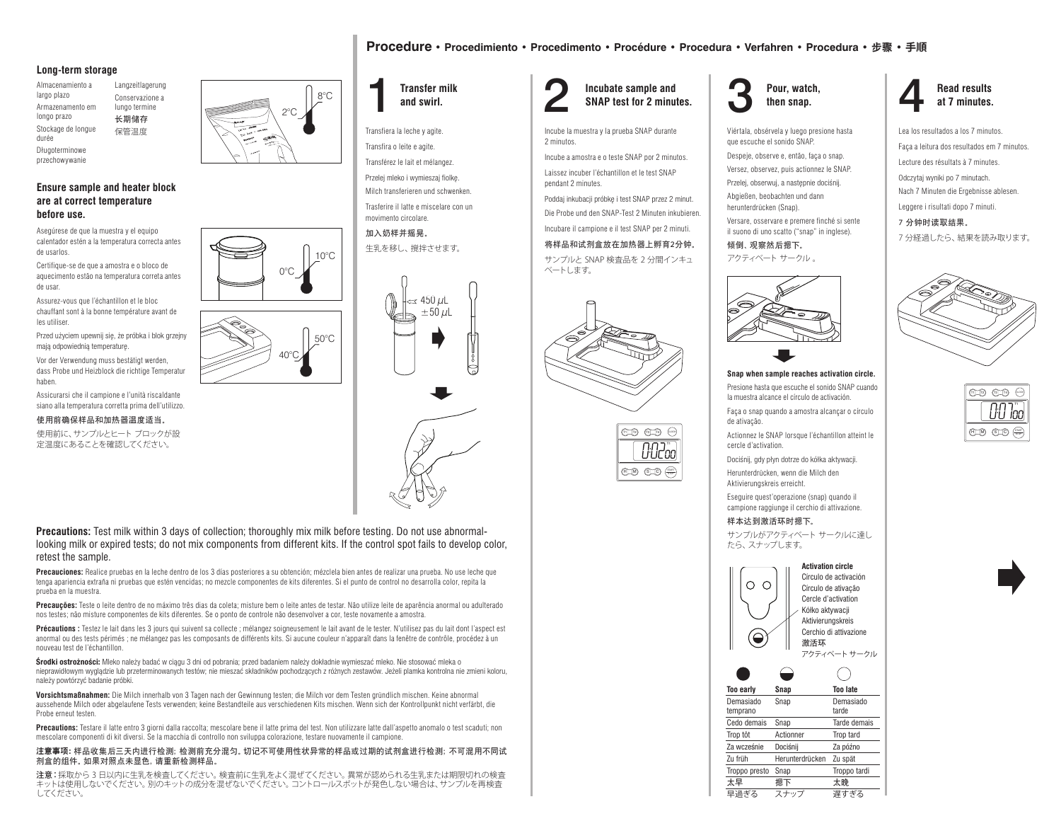## **Long-term storage**

Almacenamiento a largo plazo Armazenamento em longo prazo Stockage de longue durée Langzeitlagerung

Długoterminowe przechowywanie

## **Ensure sample and heater block are at correct temperature before use.**

Asegúrese de que la muestra y el equipo calentador estén a la temperatura correcta antes de usarlos.

Certifique-se de que a amostra e o bloco de aquecimento estão na temperatura correta antes de usar.

Assurez-vous que l'échantillon et le bloc chauffant sont à la bonne température avant de les utiliser.

Przed użyciem upewnij się, że próbka i blok grzejny mają odpowiednią temperaturę. Vor der Verwendung muss bestätigt werden, dass Probe und Heizblock die richtige Temperatur haben.

Assicurarsi che il campione e l'unità riscaldante siano alla temperatura corretta prima dell'utilizzo.

使用前确保样品和加热器温度适当。

使用前に、サンプルとヒート ブロックが設 定温度にあることを確認してください。





Transfiera la leche y agite. Transfira o leite e agite.

Transférez le lait et mélangez. Przelej mleko i wymieszaj fiolkę. Milch transferieren und schwenken.

Trasferire il latte e miscelare con un movimento circolare.

加入奶样并摇晃。 生乳を移し、撹拌させます。



**Precautions:** Test milk within 3 days of collection; thoroughly mix milk before testing. Do not use abnormallooking milk or expired tests; do not mix components from different kits. If the control spot fails to develop color, retest the sample.

40°C

0°C

50°C

 $10^{\circ}$ C

**Precauciones:** Realice pruebas en la leche dentro de los 3 días posteriores a su obtención; mézclela bien antes de realizar una prueba. No use leche que tenga apariencia extraña ni pruebas que estén vencidas; no mezcle componentes de kits diferentes. Si el punto de control no desarrolla color, repita la prueba en la muestra.

**Precauções:** Teste o leite dentro de no máximo três dias da coleta; misture bem o leite antes de testar. Não utilize leite de aparência anormal ou adulterado nos testes; não misture componentes de kits diferentes. Se o ponto de controle não desenvolver a cor, teste novamente a amostra.

**Précautions :** Testez le lait dans les 3 jours qui suivent sa collecte ; mélangez soigneusement le lait avant de le tester. N'utilisez pas du lait dont l'aspect est anormal ou des tests périmés ; ne mélangez pas les composants de différents kits. Si aucune couleur n'apparaît dans la fenêtre de contrôle, procédez à un nouveau test de l'échantillon.

Środki ostrożności: Mleko należy badać w ciągu 3 dni od pobrania; przed badaniem należy dokładnie wymieszać mleko. Nie stosować mleka o nieprawidłowym wyglądzie lub przeterminowanych testów; nie mieszać składników pochodzących z różnych zestawów. Jeżeli plamka kontrolna nie zmieni koloru, należy powtórzyć badanie próbki.

**Vorsichtsmaßnahmen:** Die Milch innerhalb von 3 Tagen nach der Gewinnung testen; die Milch vor dem Testen gründlich mischen. Keine abnormal aussehende Milch oder abgelaufene Tests verwenden; keine Bestandteile aus verschiedenen Kits mischen. Wenn sich der Kontrollpunkt nicht verfärbt, die Probe erneut testen.

**Precautions:** Testare il latte entro 3 giorni dalla raccolta; mescolare bene il latte prima del test. Non utilizzare latte dall'aspetto anomalo o test scaduti; non mescolare componenti di kit diversi. Se la macchia di controllo non sviluppa colorazione, testare nuovamente il campione.

#### 注意事项:样品收集后三天内进行检测;检测前充分混匀。切记不可使用性状异常的样品或过期的试剂盒进行检测;不可混用不同试 剂盒的组件。如果对照点未显色,请重新检测样品。

注意:採取から 3 日以内に生乳を検査してください。検査前に生乳をよく混ぜてください。異常が認められる生乳または期限切れの検査 キットは使用しないでください。別のキットの成分を混ぜないでください。コントロールスポットが発色しない場合は、サンプルを再検査 してください。

## Transfer milk and swirl. **2** Incubate sample and SNAP test for 2 minutes. 3 Pour, watch, **Incubate sample and SNAP test for 2 minutes.**

**Procedure • Procedimiento • Procedimento • Procédure • Procedura • Verfahren • Procedura •** 步骤 **• 手順**

Incube la muestra y la prueba SNAP durante 2 minutos.

Incube a amostra e o teste SNAP por 2 minutos. Laissez incuber l'échantillon et le test SNAP pendant 2 minutes.

Poddaj inkubacji próbkę i test SNAP przez 2 minut.

Die Probe und den SNAP-Test 2 Minuten inkubieren.

Incubare il campione e il test SNAP per 2 minuti.

## 将样品和试剂盒放在加热器上孵育2分钟。

サンプルと SNAP 検査品を 2 分間インキュ ベートします。







Viértala, obsérvela y luego presione hasta que escuche el sonido SNAP.

Despeje, observe e, então, faça o snap. Versez, observez, puis actionnez le SNAP. Przelej, obserwuj, a następnie dociśnij.

Abgießen, beobachten und dann herunterdrücken (Snap).

Versare, osservare e premere finché si sente il suono di uno scatto ("snap" in inglese).

倾倒、观察然后摁下。 アクティベート サークル 。



### **Snap when sample reaches activation circle.**

Presione hasta que escuche el sonido SNAP cuando la muestra alcance el círculo de activación.

Faça o snap quando a amostra alcançar o círculo de ativação.

T1 T2 T3 CLOCK H S M C Actionnez le SNAP lorsque l'échantillon atteint le cercle d'activation.

> Dociśnij, gdy płyn dotrze do kółka aktywacji. Herunterdrücken, wenn die Milch den

Aktivierungskreis erreicht. Eseguire quest'operazione (snap) quando il

campione raggiunge il cerchio di attivazione. 样本达到激活环时摁下。

サンプルがアクティベート サークルに達し たら、スナップします。



**Read results at 7 minutes.**

Lea los resultados a los 7 minutos. Faça a leitura dos resultados em 7 minutos. Lecture des résultats à 7 minutes. Odczytaj wyniki po 7 minutach. Nach 7 Minuten die Ergebnisse ablesen. Leggere i risultati dopo 7 minuti.

7 分钟时读取结果。

7 分経過したら、結果を読み取ります。





Conservazione a lungo termine 长期储存 保管温度